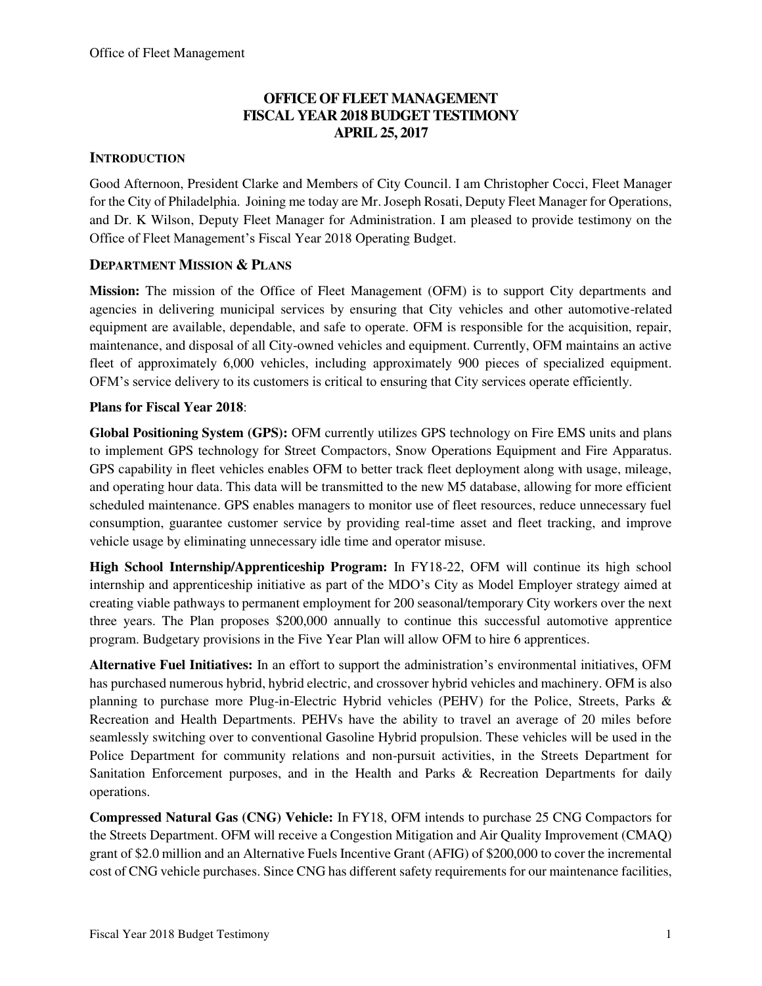## **OFFICE OF FLEET MANAGEMENT FISCAL YEAR 2018 BUDGET TESTIMONY APRIL 25, 2017**

#### **INTRODUCTION**

Good Afternoon, President Clarke and Members of City Council. I am Christopher Cocci, Fleet Manager for the City of Philadelphia. Joining me today are Mr. Joseph Rosati, Deputy Fleet Manager for Operations, and Dr. K Wilson, Deputy Fleet Manager for Administration. I am pleased to provide testimony on the Office of Fleet Management's Fiscal Year 2018 Operating Budget.

#### **DEPARTMENT MISSION & PLANS**

**Mission:** The mission of the Office of Fleet Management (OFM) is to support City departments and agencies in delivering municipal services by ensuring that City vehicles and other automotive-related equipment are available, dependable, and safe to operate. OFM is responsible for the acquisition, repair, maintenance, and disposal of all City-owned vehicles and equipment. Currently, OFM maintains an active fleet of approximately 6,000 vehicles, including approximately 900 pieces of specialized equipment. OFM's service delivery to its customers is critical to ensuring that City services operate efficiently.

#### **Plans for Fiscal Year 2018**:

**Global Positioning System (GPS):** OFM currently utilizes GPS technology on Fire EMS units and plans to implement GPS technology for Street Compactors, Snow Operations Equipment and Fire Apparatus. GPS capability in fleet vehicles enables OFM to better track fleet deployment along with usage, mileage, and operating hour data. This data will be transmitted to the new M5 database, allowing for more efficient scheduled maintenance. GPS enables managers to monitor use of fleet resources, reduce unnecessary fuel consumption, guarantee customer service by providing real-time asset and fleet tracking, and improve vehicle usage by eliminating unnecessary idle time and operator misuse.

**High School Internship/Apprenticeship Program:** In FY18-22, OFM will continue its high school internship and apprenticeship initiative as part of the MDO's City as Model Employer strategy aimed at creating viable pathways to permanent employment for 200 seasonal/temporary City workers over the next three years. The Plan proposes \$200,000 annually to continue this successful automotive apprentice program. Budgetary provisions in the Five Year Plan will allow OFM to hire 6 apprentices.

**Alternative Fuel Initiatives:** In an effort to support the administration's environmental initiatives, OFM has purchased numerous hybrid, hybrid electric, and crossover hybrid vehicles and machinery. OFM is also planning to purchase more Plug-in-Electric Hybrid vehicles (PEHV) for the Police, Streets, Parks & Recreation and Health Departments. PEHVs have the ability to travel an average of 20 miles before seamlessly switching over to conventional Gasoline Hybrid propulsion. These vehicles will be used in the Police Department for community relations and non-pursuit activities, in the Streets Department for Sanitation Enforcement purposes, and in the Health and Parks & Recreation Departments for daily operations.

**Compressed Natural Gas (CNG) Vehicle:** In FY18, OFM intends to purchase 25 CNG Compactors for the Streets Department. OFM will receive a Congestion Mitigation and Air Quality Improvement (CMAQ) grant of \$2.0 million and an Alternative Fuels Incentive Grant (AFIG) of \$200,000 to cover the incremental cost of CNG vehicle purchases. Since CNG has different safety requirements for our maintenance facilities,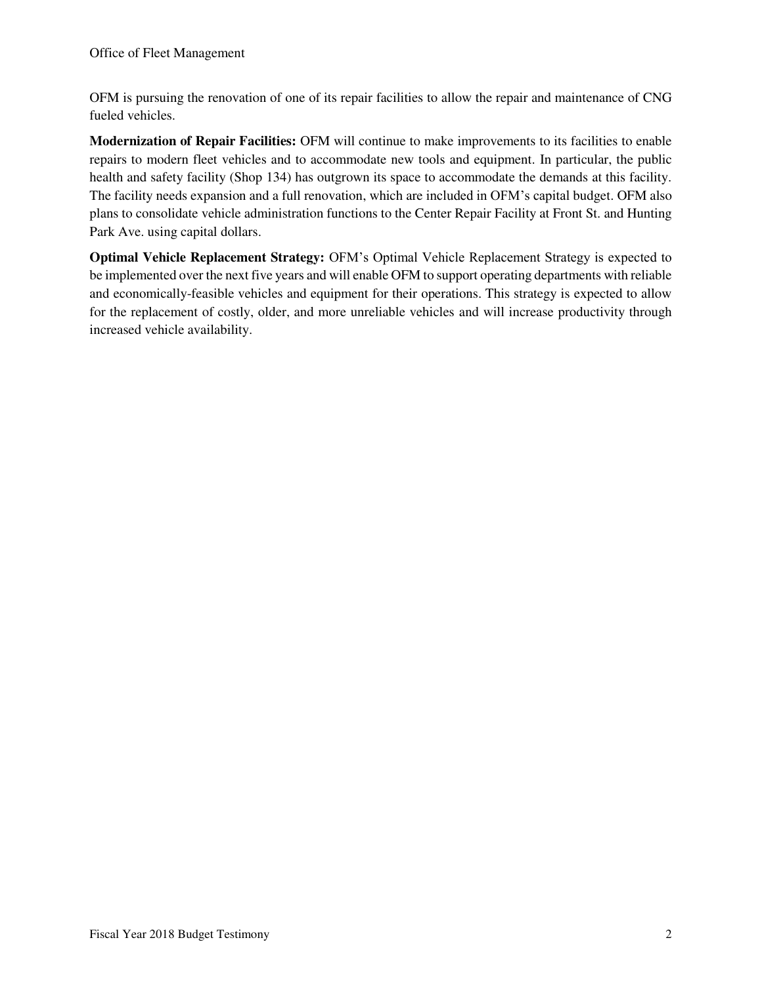OFM is pursuing the renovation of one of its repair facilities to allow the repair and maintenance of CNG fueled vehicles.

**Modernization of Repair Facilities:** OFM will continue to make improvements to its facilities to enable repairs to modern fleet vehicles and to accommodate new tools and equipment. In particular, the public health and safety facility (Shop 134) has outgrown its space to accommodate the demands at this facility. The facility needs expansion and a full renovation, which are included in OFM's capital budget. OFM also plans to consolidate vehicle administration functions to the Center Repair Facility at Front St. and Hunting Park Ave. using capital dollars.

**Optimal Vehicle Replacement Strategy:** OFM's Optimal Vehicle Replacement Strategy is expected to be implemented over the next five years and will enable OFM to support operating departments with reliable and economically-feasible vehicles and equipment for their operations. This strategy is expected to allow for the replacement of costly, older, and more unreliable vehicles and will increase productivity through increased vehicle availability.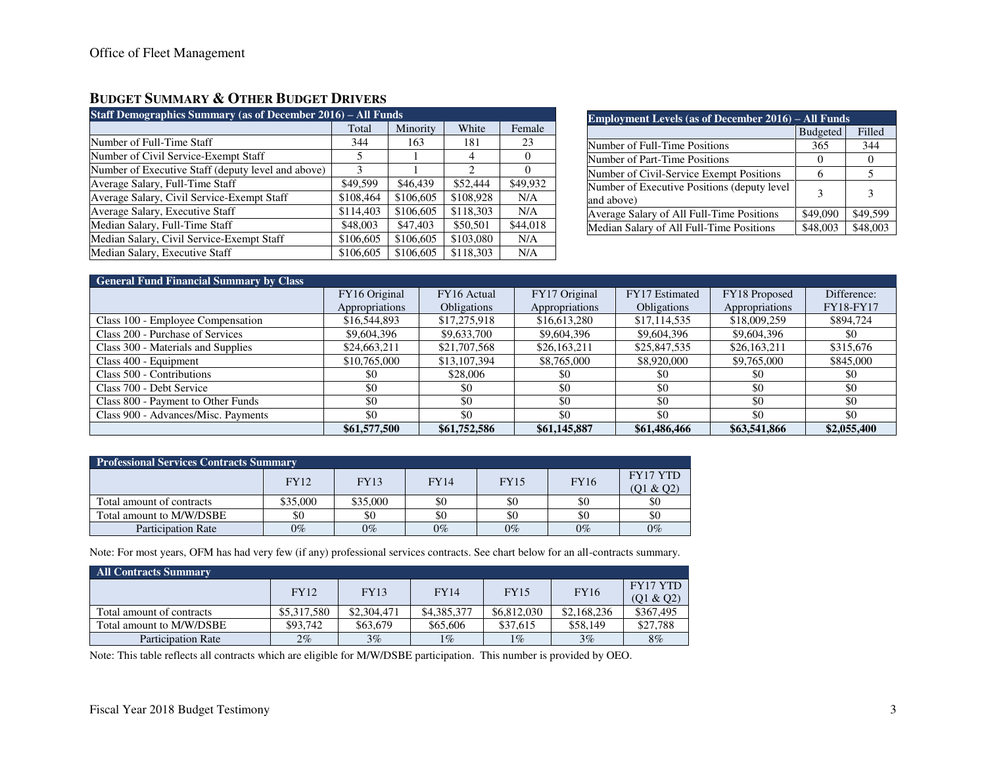#### **BUDGET SUMMARY & OTHER BUDGET DRIVERS**

| Staff Demographics Summary (as of December 2016) – All Funds |               |           |           |          |  |  |  |  |  |
|--------------------------------------------------------------|---------------|-----------|-----------|----------|--|--|--|--|--|
|                                                              | Total         | Minority  | White     | Female   |  |  |  |  |  |
| Number of Full-Time Staff                                    | 344           | 163       | 181       | 23       |  |  |  |  |  |
| Number of Civil Service-Exempt Staff                         | 5             |           | 4         | $\Omega$ |  |  |  |  |  |
| Number of Executive Staff (deputy level and above)           | $\mathcal{F}$ |           | 2         | 0        |  |  |  |  |  |
| Average Salary, Full-Time Staff                              | \$49,599      | \$46,439  | \$52,444  | \$49,932 |  |  |  |  |  |
| Average Salary, Civil Service-Exempt Staff                   | \$108,464     | \$106,605 | \$108,928 | N/A      |  |  |  |  |  |
| Average Salary, Executive Staff                              | \$114,403     | \$106,605 | \$118,303 | N/A      |  |  |  |  |  |
| Median Salary, Full-Time Staff                               | \$48,003      | \$47,403  | \$50,501  | \$44,018 |  |  |  |  |  |
| Median Salary, Civil Service-Exempt Staff                    | \$106,605     | \$106,605 | \$103,080 | N/A      |  |  |  |  |  |
| Median Salary, Executive Staff                               | \$106,605     | \$106,605 | \$118,303 | N/A      |  |  |  |  |  |

| <b>Employment Levels (as of December 2016) – All Funds</b> |                 |          |  |  |  |  |  |
|------------------------------------------------------------|-----------------|----------|--|--|--|--|--|
|                                                            | <b>Budgeted</b> | Filled   |  |  |  |  |  |
| Number of Full-Time Positions                              | 365             | 344      |  |  |  |  |  |
| Number of Part-Time Positions                              | $\theta$        | $\theta$ |  |  |  |  |  |
| Number of Civil-Service Exempt Positions                   | 6               | 5        |  |  |  |  |  |
| Number of Executive Positions (deputy level<br>and above)  | 3               | 3        |  |  |  |  |  |
| Average Salary of All Full-Time Positions                  | \$49,090        | \$49,599 |  |  |  |  |  |
| Median Salary of All Full-Time Positions                   | \$48,003        | \$48,003 |  |  |  |  |  |

| <b>General Fund Financial Summary by Class</b> |                |                    |                |                    |                |                  |
|------------------------------------------------|----------------|--------------------|----------------|--------------------|----------------|------------------|
|                                                | FY16 Original  | FY16 Actual        | FY17 Original  | FY17 Estimated     | FY18 Proposed  | Difference:      |
|                                                | Appropriations | <b>Obligations</b> | Appropriations | <b>Obligations</b> | Appropriations | <b>FY18-FY17</b> |
| Class 100 - Employee Compensation              | \$16,544,893   | \$17,275,918       | \$16,613,280   | \$17,114,535       | \$18,009,259   | \$894,724        |
| Class 200 - Purchase of Services               | \$9,604,396    | \$9,633,700        | \$9,604,396    | \$9,604,396        | \$9,604,396    | \$0              |
| Class 300 - Materials and Supplies             | \$24,663,211   | \$21,707,568       | \$26,163,211   | \$25,847,535       | \$26,163,211   | \$315,676        |
| Class 400 - Equipment                          | \$10,765,000   | \$13,107,394       | \$8,765,000    | \$8,920,000        | \$9,765,000    | \$845,000        |
| Class 500 - Contributions                      | \$0            | \$28,006           | \$0            | \$0                | \$0            | \$0              |
| Class 700 - Debt Service                       | \$0            | \$0                | \$0            | \$0                | \$0            | \$0              |
| Class 800 - Payment to Other Funds             | \$0            | \$0                | \$0            | \$0                | \$0            | \$0              |
| Class 900 - Advances/Misc. Payments            | \$0            | \$0                | \$0            | \$0                | \$0            | \$0              |
|                                                | \$61,577,500   | \$61,752,586       | \$61,145,887   | \$61,486,466       | \$63,541,866   | \$2,055,400      |

| <b>Professional Services Contracts Summary</b> |             |             |             |             |             |           |  |  |
|------------------------------------------------|-------------|-------------|-------------|-------------|-------------|-----------|--|--|
|                                                | <b>FY12</b> | <b>FY13</b> | <b>FY14</b> | <b>FY15</b> | <b>FY16</b> | FY17 YTD  |  |  |
|                                                |             |             |             |             |             | (01 & 02) |  |  |
| Total amount of contracts                      | \$35,000    | \$35,000    | \$0         | \$0         | \$0         | \$0       |  |  |
| Total amount to M/W/DSBE                       | \$0         | \$0         | \$0         | \$0         | \$0         | \$0       |  |  |
| <b>Participation Rate</b>                      | $0\%$       | $0\%$       | $0\%$       | $0\%$       | $0\%$       | $0\%$     |  |  |

Note: For most years, OFM has had very few (if any) professional services contracts. See chart below for an all-contracts summary.

| All Contracts Summary     |             |             |             |             |             |                 |  |  |
|---------------------------|-------------|-------------|-------------|-------------|-------------|-----------------|--|--|
|                           | <b>FY12</b> | <b>FY13</b> | <b>FY14</b> | <b>FY15</b> | <b>FY16</b> | <b>FY17 YTD</b> |  |  |
|                           |             |             |             |             |             | (Q1 & Q2)       |  |  |
| Total amount of contracts | \$5,317,580 | \$2,304,471 | \$4,385,377 | \$6,812,030 | \$2,168,236 | \$367,495       |  |  |
| Total amount to M/W/DSBE  | \$93,742    | \$63,679    | \$65,606    | \$37,615    | \$58,149    | \$27,788        |  |  |
| <b>Participation Rate</b> | 2%          | $3\%$       | $1\%$       | 1%          | 3%          | 8%              |  |  |

Note: This table reflects all contracts which are eligible for M/W/DSBE participation. This number is provided by OEO.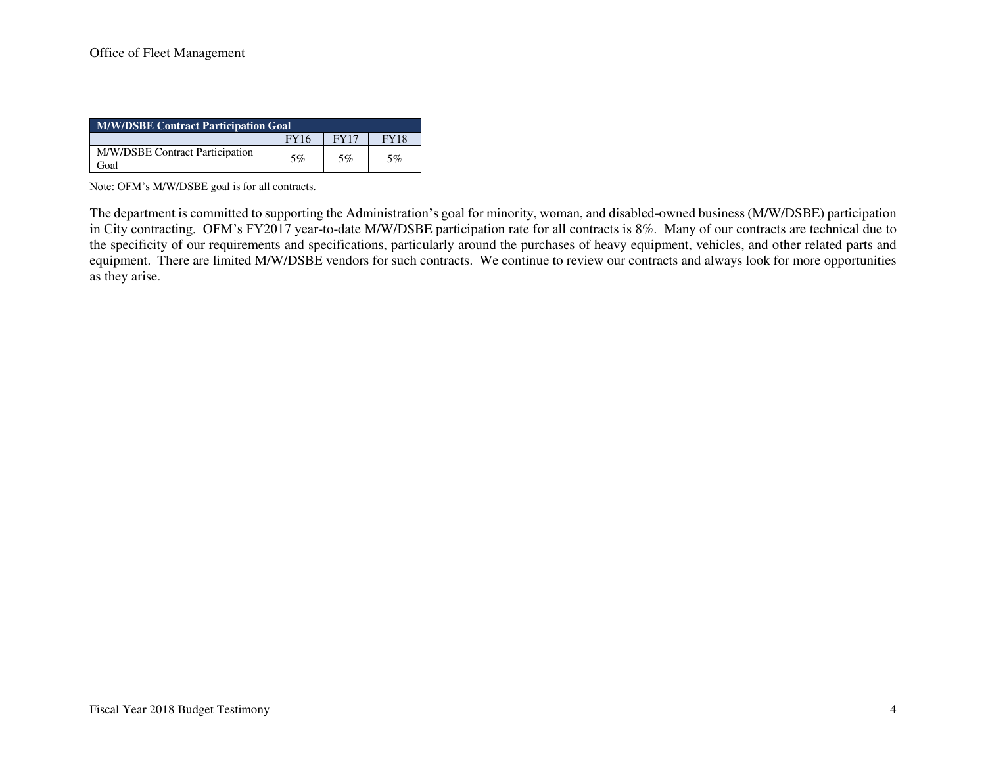| <b>M/W/DSBE Contract Participation Goal</b> |             |             |             |  |  |  |
|---------------------------------------------|-------------|-------------|-------------|--|--|--|
|                                             | <b>FY16</b> | <b>FY17</b> | <b>FY18</b> |  |  |  |
| M/W/DSBE Contract Participation<br>Goal     | 5%          | 5%          | 5%          |  |  |  |

Note: OFM's M/W/DSBE goal is for all contracts.

The department is committed to supporting the Administration's goal for minority, woman, and disabled-owned business (M/W/DSBE) participation in City contracting. OFM's FY2017 year-to-date M/W/DSBE participation rate for all contracts is 8%. Many of our contracts are technical due to the specificity of our requirements and specifications, particularly around the purchases of heavy equipment, vehicles, and other related parts and equipment. There are limited M/W/DSBE vendors for such contracts. We continue to review our contracts and always look for more opportunities as they arise.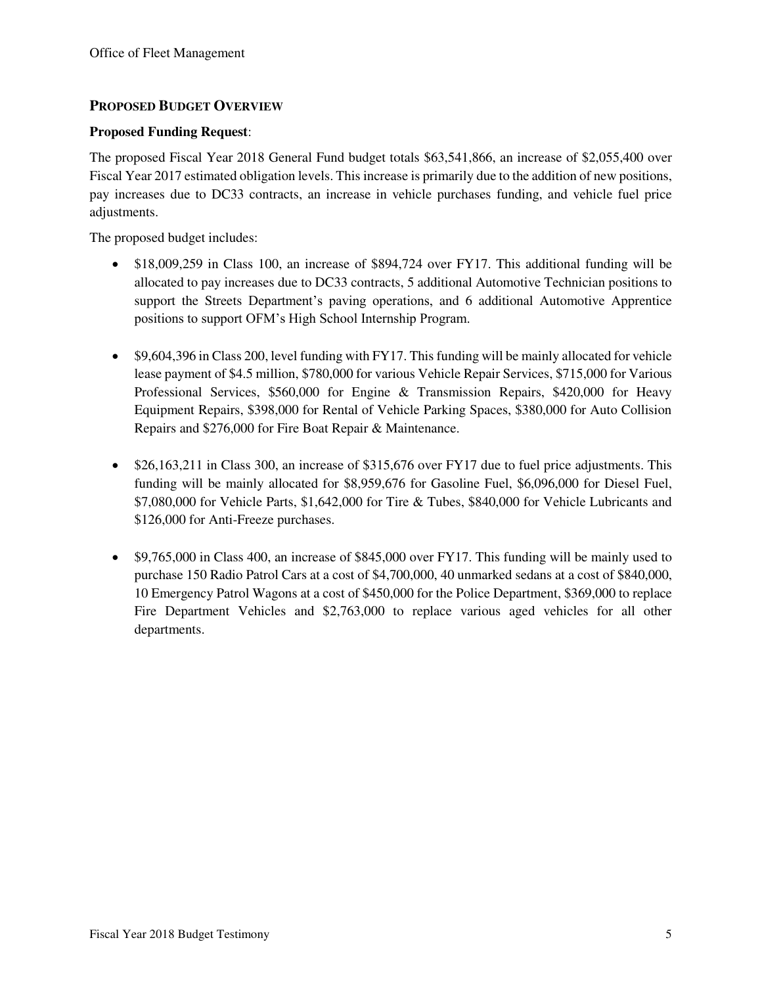## **PROPOSED BUDGET OVERVIEW**

#### **Proposed Funding Request**:

The proposed Fiscal Year 2018 General Fund budget totals \$63,541,866, an increase of \$2,055,400 over Fiscal Year 2017 estimated obligation levels. This increase is primarily due to the addition of new positions, pay increases due to DC33 contracts, an increase in vehicle purchases funding, and vehicle fuel price adjustments.

The proposed budget includes:

- \$18,009,259 in Class 100, an increase of \$894,724 over FY17. This additional funding will be allocated to pay increases due to DC33 contracts, 5 additional Automotive Technician positions to support the Streets Department's paving operations, and 6 additional Automotive Apprentice positions to support OFM's High School Internship Program.
- \$9,604,396 in Class 200, level funding with FY17. This funding will be mainly allocated for vehicle lease payment of \$4.5 million, \$780,000 for various Vehicle Repair Services, \$715,000 for Various Professional Services, \$560,000 for Engine & Transmission Repairs, \$420,000 for Heavy Equipment Repairs, \$398,000 for Rental of Vehicle Parking Spaces, \$380,000 for Auto Collision Repairs and \$276,000 for Fire Boat Repair & Maintenance.
- $\bullet$  \$26,163,211 in Class 300, an increase of \$315,676 over FY17 due to fuel price adjustments. This funding will be mainly allocated for \$8,959,676 for Gasoline Fuel, \$6,096,000 for Diesel Fuel, \$7,080,000 for Vehicle Parts, \$1,642,000 for Tire & Tubes, \$840,000 for Vehicle Lubricants and \$126,000 for Anti-Freeze purchases.
- \$9,765,000 in Class 400, an increase of \$845,000 over FY17. This funding will be mainly used to purchase 150 Radio Patrol Cars at a cost of \$4,700,000, 40 unmarked sedans at a cost of \$840,000, 10 Emergency Patrol Wagons at a cost of \$450,000 for the Police Department, \$369,000 to replace Fire Department Vehicles and \$2,763,000 to replace various aged vehicles for all other departments.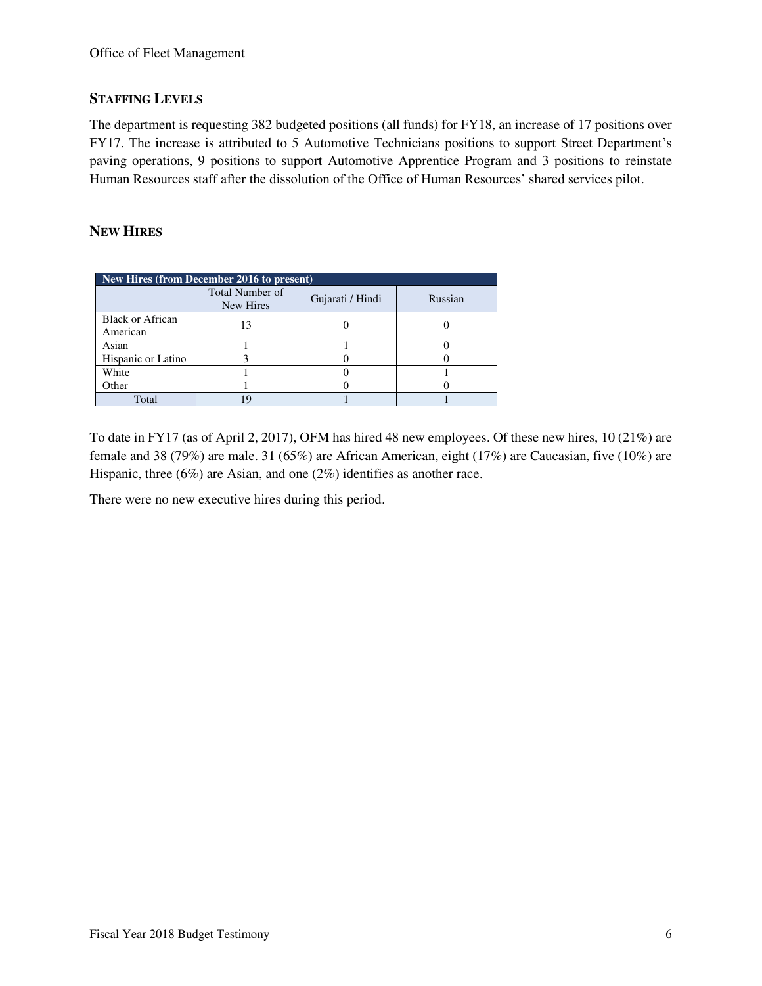#### **STAFFING LEVELS**

The department is requesting 382 budgeted positions (all funds) for FY18, an increase of 17 positions over FY17. The increase is attributed to 5 Automotive Technicians positions to support Street Department's paving operations, 9 positions to support Automotive Apprentice Program and 3 positions to reinstate Human Resources staff after the dissolution of the Office of Human Resources' shared services pilot.

#### **NEW HIRES**

| New Hires (from December 2016 to present) |                                     |                  |         |  |  |  |  |  |
|-------------------------------------------|-------------------------------------|------------------|---------|--|--|--|--|--|
|                                           | <b>Total Number of</b><br>New Hires | Gujarati / Hindi | Russian |  |  |  |  |  |
| Black or African<br>American              |                                     |                  |         |  |  |  |  |  |
| Asian                                     |                                     |                  |         |  |  |  |  |  |
| Hispanic or Latino                        |                                     |                  |         |  |  |  |  |  |
| White                                     |                                     |                  |         |  |  |  |  |  |
| Other                                     |                                     |                  |         |  |  |  |  |  |
| Total                                     | q                                   |                  |         |  |  |  |  |  |

To date in FY17 (as of April 2, 2017), OFM has hired 48 new employees. Of these new hires, 10 (21%) are female and 38 (79%) are male. 31 (65%) are African American, eight (17%) are Caucasian, five (10%) are Hispanic, three (6%) are Asian, and one (2%) identifies as another race.

There were no new executive hires during this period.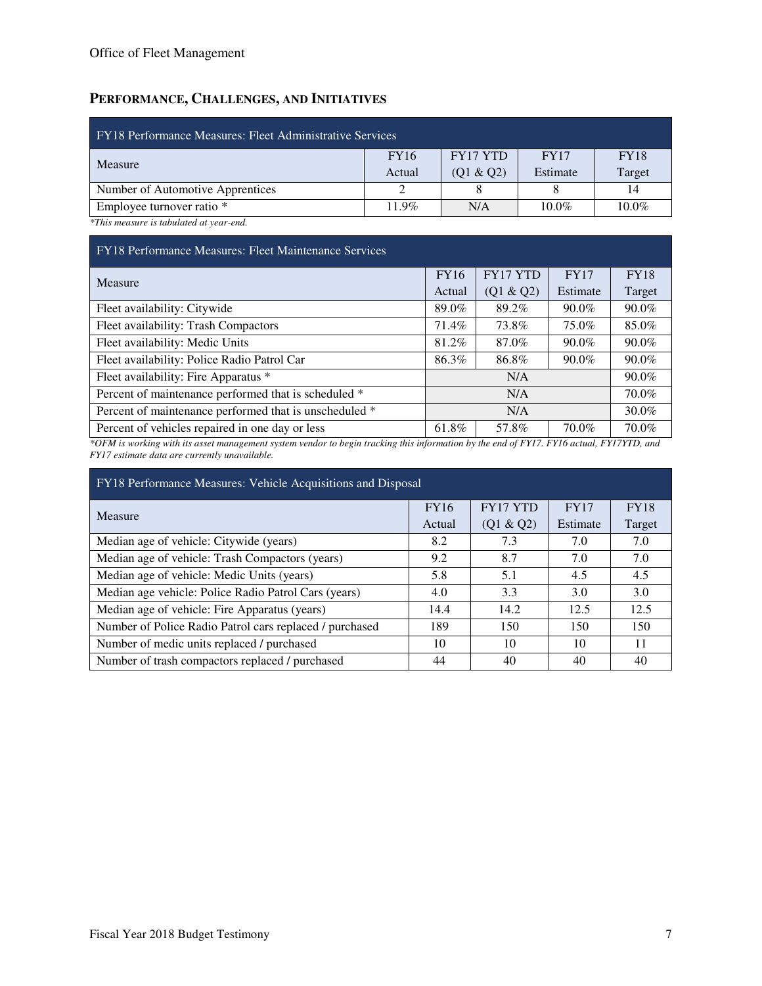## **PERFORMANCE, CHALLENGES, AND INITIATIVES**

| FY18 Performance Measures: Fleet Administrative Services |             |                 |             |             |  |  |  |  |
|----------------------------------------------------------|-------------|-----------------|-------------|-------------|--|--|--|--|
|                                                          | <b>FY16</b> | <b>FY17 YTD</b> | <b>FY17</b> | <b>FY18</b> |  |  |  |  |
| Measure                                                  | Actual      | (Q1 & Q2)       | Estimate    | Target      |  |  |  |  |
| Number of Automotive Apprentices                         |             |                 |             | 14          |  |  |  |  |
| Employee turnover ratio *                                | $11.9\%$    | N/A             | $10.0\%$    | $10.0\%$    |  |  |  |  |
|                                                          |             |                 |             |             |  |  |  |  |

*\*This measure is tabulated at year-end.* 

#### FY18 Performance Measures: Fleet Maintenance Services

| Measure                                                |                         | FY17 YTD  | <b>FY17</b> | <b>FY18</b> |
|--------------------------------------------------------|-------------------------|-----------|-------------|-------------|
|                                                        |                         | (Q1 & Q2) | Estimate    | Target      |
| Fleet availability: Citywide                           | 89.0%                   | 89.2%     | $90.0\%$    | $90.0\%$    |
| Fleet availability: Trash Compactors                   | 71.4%                   | 73.8%     | 75.0%       | 85.0%       |
| Fleet availability: Medic Units                        | 81.2%                   | 87.0%     | $90.0\%$    | $90.0\%$    |
| Fleet availability: Police Radio Patrol Car            | 86.3%                   | 86.8%     | 90.0%       | 90.0%       |
| Fleet availability: Fire Apparatus *                   | N/A                     |           |             | 90.0%       |
| Percent of maintenance performed that is scheduled *   | N/A                     |           |             | 70.0%       |
| Percent of maintenance performed that is unscheduled * | N/A                     |           |             | 30.0%       |
| Percent of vehicles repaired in one day or less        | 61.8%<br>70.0%<br>57.8% |           |             | 70.0%       |

*\*OFM is working with its asset management system vendor to begin tracking this information by the end of FY17. FY16 actual, FY17YTD, and FY17 estimate data are currently unavailable.* 

| FY18 Performance Measures: Vehicle Acquisitions and Disposal |             |           |             |             |  |  |  |  |  |
|--------------------------------------------------------------|-------------|-----------|-------------|-------------|--|--|--|--|--|
| Measure                                                      | <b>FY16</b> | FY17 YTD  | <b>FY17</b> | <b>FY18</b> |  |  |  |  |  |
|                                                              | Actual      | (Q1 & Q2) | Estimate    | Target      |  |  |  |  |  |
| Median age of vehicle: Citywide (years)                      | 8.2         | 7.3       | 7.0         | 7.0         |  |  |  |  |  |
| Median age of vehicle: Trash Compactors (years)              | 9.2         | 8.7       | 7.0         | 7.0         |  |  |  |  |  |
| Median age of vehicle: Medic Units (years)                   | 5.8         | 5.1       | 4.5         | 4.5         |  |  |  |  |  |
| Median age vehicle: Police Radio Patrol Cars (years)         | 4.0         | 3.3       | 3.0         | 3.0         |  |  |  |  |  |
| Median age of vehicle: Fire Apparatus (years)                | 14.4        | 14.2      | 12.5        | 12.5        |  |  |  |  |  |
| Number of Police Radio Patrol cars replaced / purchased      | 189         | 150       | 150         | 150         |  |  |  |  |  |
| Number of medic units replaced / purchased                   | 10          | 10        | 10          | 11          |  |  |  |  |  |
| Number of trash compactors replaced / purchased              | 44          | 40        | 40          | 40          |  |  |  |  |  |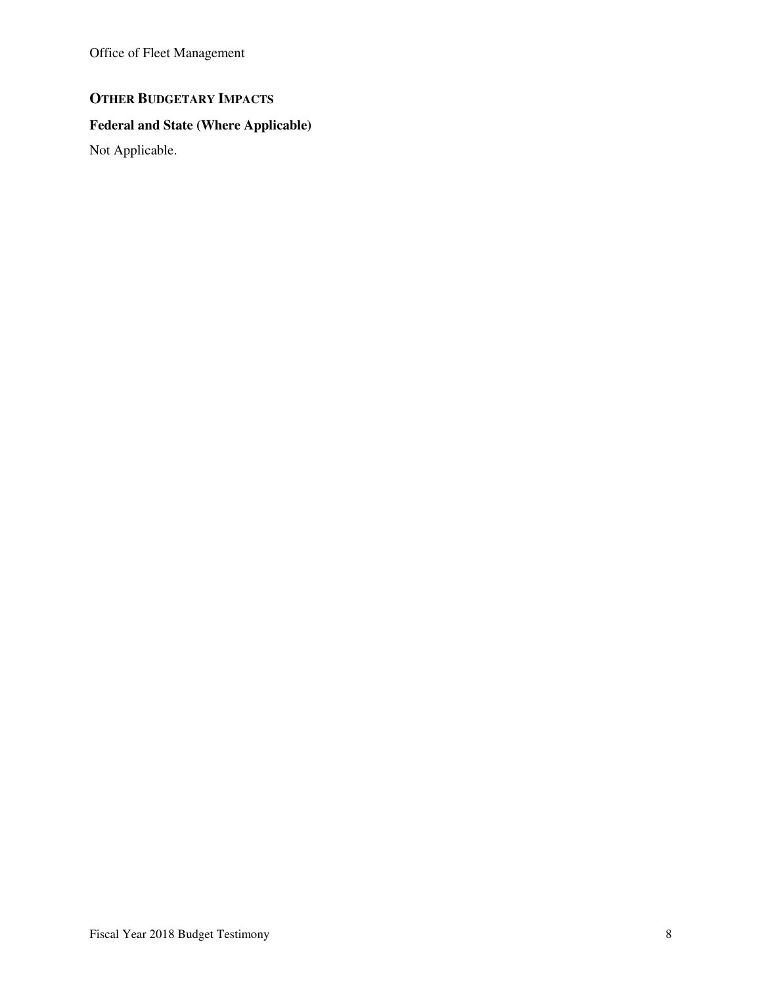Office of Fleet Management

# **OTHER BUDGETARY IMPACTS**

## **Federal and State (Where Applicable)**

Not Applicable.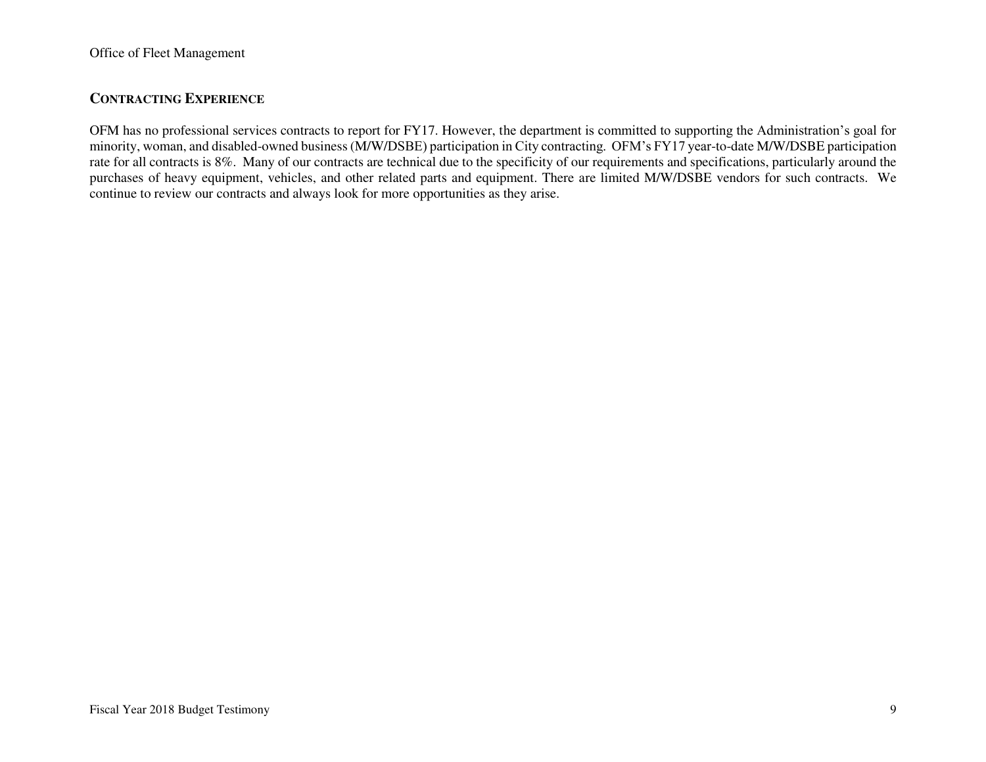### **CONTRACTING EXPERIENCE**

OFM has no professional services contracts to report for FY17. However, the department is committed to supporting the Administration's goal for minority, woman, and disabled-owned business (M/W/DSBE) participation in City contracting. OFM's FY17 year-to-date M/W/DSBE participation rate for all contracts is 8%. Many of our contracts are technical due to the specificity of our requirements and specifications, particularly around the purchases of heavy equipment, vehicles, and other related parts and equipment. There are limited M/W/DSBE vendors for such contracts. We continue to review our contracts and always look for more opportunities as they arise.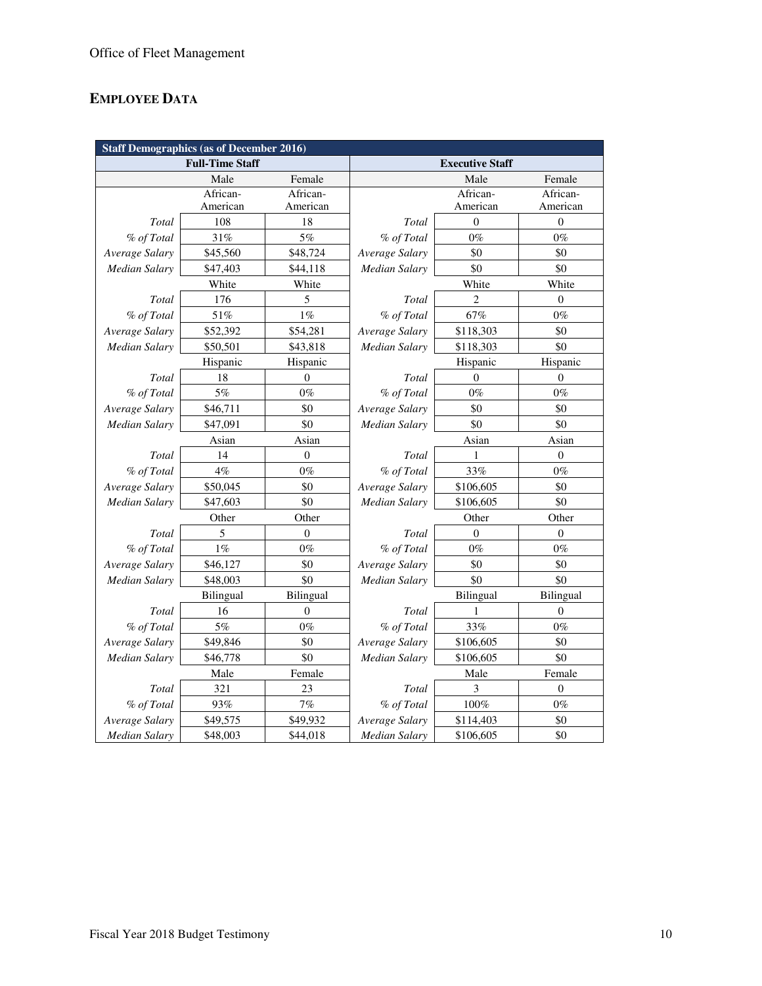# **EMPLOYEE DATA**

| <b>Staff Demographics (as of December 2016)</b> |                        |              |                        |                |                  |  |  |
|-------------------------------------------------|------------------------|--------------|------------------------|----------------|------------------|--|--|
|                                                 | <b>Full-Time Staff</b> |              | <b>Executive Staff</b> |                |                  |  |  |
|                                                 | Male                   | Female       |                        | Male           | Female           |  |  |
|                                                 | African-               | African-     |                        | African-       | African-         |  |  |
|                                                 | American               | American     |                        | American       | American         |  |  |
| Total                                           | 108                    | 18           | Total                  | $\overline{0}$ | $\mathbf{0}$     |  |  |
| % of Total                                      | 31%                    | 5%           | % of Total             | $0\%$          | $0\%$            |  |  |
| Average Salary                                  | \$45,560               | \$48,724     | Average Salary         | \$0            | \$0              |  |  |
| Median Salary                                   | \$47,403               | \$44,118     | <b>Median Salary</b>   | \$0            | \$0              |  |  |
|                                                 | White                  | White        |                        | White          | White            |  |  |
| Total                                           | 176                    | 5            | Total                  | $\overline{c}$ | $\overline{0}$   |  |  |
| % of Total                                      | 51%                    | $1\%$        | % of Total             | 67%            | $0\%$            |  |  |
| Average Salary                                  | \$52,392               | \$54,281     | Average Salary         | \$118,303      | \$0              |  |  |
| Median Salary                                   | \$50,501               | \$43,818     | Median Salary          | \$118,303      | \$0              |  |  |
|                                                 | Hispanic               | Hispanic     |                        | Hispanic       | Hispanic         |  |  |
| Total                                           | 18                     | $\theta$     | Total                  | $\theta$       | $\theta$         |  |  |
| % of Total                                      | 5%                     | $0\%$        | % of Total             | $0\%$          | $0\%$            |  |  |
| Average Salary                                  | \$46,711               | \$0          | Average Salary         | \$0            | \$0              |  |  |
| Median Salary                                   | \$47,091               | \$0          | <b>Median Salary</b>   | \$0            | \$0              |  |  |
|                                                 | Asian                  | Asian        | Asian                  |                | Asian            |  |  |
| Total                                           | 14                     | $\mathbf{0}$ | Total                  | 1              | $\theta$         |  |  |
| % of Total                                      | $4\%$                  | $0\%$        | % of Total             | 33%            | $0\%$            |  |  |
| Average Salary                                  | \$50,045               | \$0          | Average Salary         | \$106,605      | \$0              |  |  |
| <b>Median Salary</b>                            | \$47,603               | \$0          | <b>Median Salary</b>   | \$106,605      | \$0              |  |  |
|                                                 | Other                  | Other        |                        | Other          | Other            |  |  |
| Total                                           | 5                      | $\theta$     | Total                  | $\mathbf{0}$   | $\overline{0}$   |  |  |
| % of Total                                      | $1\%$                  | $0\%$        | % of Total             | $0\%$          | $0\%$            |  |  |
| Average Salary                                  | \$46,127               | \$0          | Average Salary         | \$0            | \$0              |  |  |
| Median Salary                                   | \$48,003               | \$0          | Median Salary          | \$0            | \$0              |  |  |
|                                                 | Bilingual              | Bilingual    |                        | Bilingual      | Bilingual        |  |  |
| Total                                           | 16                     | $\theta$     | Total                  | 1              | $\mathbf{0}$     |  |  |
| % of Total                                      | $5\%$                  | $0\%$        | % of Total             | 33%            | $0\%$            |  |  |
| Average Salary                                  | \$49,846               | \$0          | Average Salary         | \$106,605      | \$0              |  |  |
| Median Salary                                   | \$46,778               | \$0          | Median Salary          | \$106,605      | \$0              |  |  |
|                                                 | Male                   | Female       |                        | Male           | Female           |  |  |
| Total                                           | 321                    | 23           | Total                  | 3              | $\boldsymbol{0}$ |  |  |
| % of Total                                      | 93%                    | 7%           | % of Total             | $100\%$        | $0\%$            |  |  |
| Average Salary                                  | \$49,575               | \$49,932     | Average Salary         | \$114,403      | \$0              |  |  |
| <b>Median Salary</b>                            | \$48,003               | \$44,018     | <b>Median Salary</b>   | \$106,605      | \$0              |  |  |